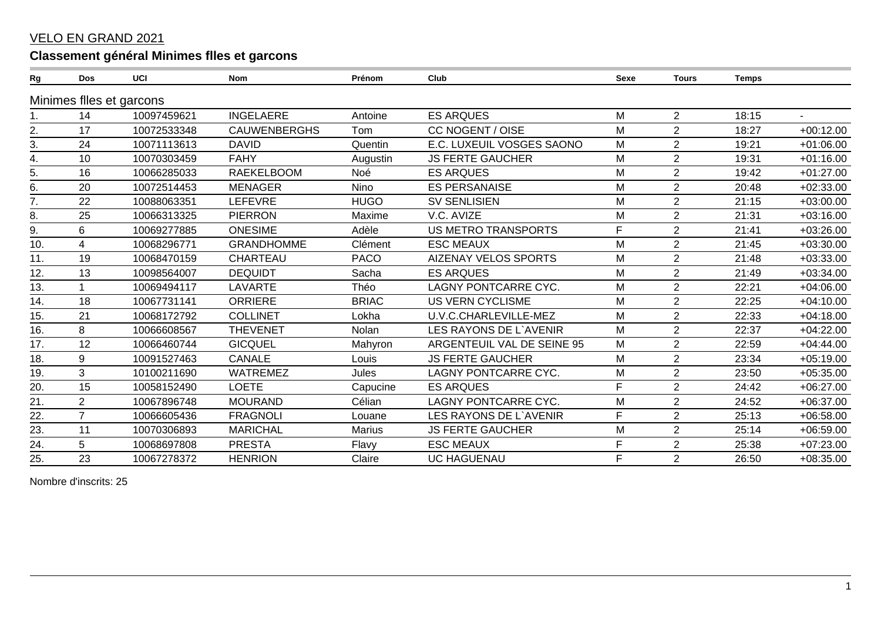## **VELO EN GRAND 2021**

## Classement général Minimes flles et garcons

| Rg  | <b>Dos</b>     | UCI                      | <b>Nom</b>          | Prénom        | Club                        | <b>Sexe</b> | <b>Tours</b>   | <b>Temps</b> |                |
|-----|----------------|--------------------------|---------------------|---------------|-----------------------------|-------------|----------------|--------------|----------------|
|     |                | Minimes flles et garcons |                     |               |                             |             |                |              |                |
|     | 14             | 10097459621              | <b>INGELAERE</b>    | Antoine       | <b>ES ARQUES</b>            | M           | $\overline{2}$ | 18:15        | $\blacksquare$ |
| 2.  | 17             | 10072533348              | <b>CAUWENBERGHS</b> | Tom           | <b>CC NOGENT / OISE</b>     | M           | $\overline{2}$ | 18:27        | $+00:12.00$    |
| 3.  | 24             | 10071113613              | <b>DAVID</b>        | Quentin       | E.C. LUXEUIL VOSGES SAONO   | M           | $\overline{2}$ | 19:21        | $+01:06.00$    |
| 4.  | 10             | 10070303459              | <b>FAHY</b>         | Augustin      | <b>JS FERTE GAUCHER</b>     | M           | $\overline{2}$ | 19:31        | $+01:16.00$    |
| 5.  | 16             | 10066285033              | <b>RAEKELBOOM</b>   | Noé           | <b>ES ARQUES</b>            | M           | $\overline{2}$ | 19:42        | $+01:27.00$    |
| 6.  | 20             | 10072514453              | <b>MENAGER</b>      | Nino          | <b>ES PERSANAISE</b>        | M           | $\overline{2}$ | 20:48        | $+02:33.00$    |
| 7.  | 22             | 10088063351              | <b>LEFEVRE</b>      | <b>HUGO</b>   | <b>SV SENLISIEN</b>         | M           | $\overline{2}$ | 21:15        | $+03:00.00$    |
| 8.  | 25             | 10066313325              | <b>PIERRON</b>      | Maxime        | V.C. AVIZE                  | M           | 2              | 21:31        | $+03:16.00$    |
| 9.  | 6              | 10069277885              | <b>ONESIME</b>      | Adèle         | <b>US METRO TRANSPORTS</b>  | F           | $\overline{2}$ | 21:41        | $+03:26.00$    |
| 10. | 4              | 10068296771              | <b>GRANDHOMME</b>   | Clément       | <b>ESC MEAUX</b>            | M           | $\overline{2}$ | 21:45        | $+03:30.00$    |
| 11. | 19             | 10068470159              | <b>CHARTEAU</b>     | <b>PACO</b>   | <b>AIZENAY VELOS SPORTS</b> | M           | $\overline{2}$ | 21:48        | $+03:33.00$    |
| 12. | 13             | 10098564007              | <b>DEQUIDT</b>      | Sacha         | <b>ES ARQUES</b>            | M           | $\overline{2}$ | 21:49        | $+03:34.00$    |
| 13. |                | 10069494117              | LAVARTE             | Théo          | <b>LAGNY PONTCARRE CYC.</b> | M           | $\overline{2}$ | 22:21        | $+04:06.00$    |
| 14. | 18             | 10067731141              | <b>ORRIERE</b>      | <b>BRIAC</b>  | <b>US VERN CYCLISME</b>     | M           | $\overline{2}$ | 22:25        | $+04:10.00$    |
| 15. | 21             | 10068172792              | <b>COLLINET</b>     | Lokha         | U.V.C.CHARLEVILLE-MEZ       | M           | $\overline{2}$ | 22:33        | $+04:18.00$    |
| 16. | 8              | 10066608567              | <b>THEVENET</b>     | Nolan         | LES RAYONS DE L'AVENIR      | M           | $\overline{2}$ | 22:37        | $+04:22.00$    |
| 17. | 12             | 10066460744              | <b>GICQUEL</b>      | Mahyron       | ARGENTEUIL VAL DE SEINE 95  | M           | $\overline{2}$ | 22:59        | $+04:44.00$    |
| 18. | 9              | 10091527463              | CANALE              | Louis         | <b>JS FERTE GAUCHER</b>     | M           | $\overline{2}$ | 23:34        | $+05:19.00$    |
| 19. | 3              | 10100211690              | <b>WATREMEZ</b>     | Jules         | <b>LAGNY PONTCARRE CYC.</b> | M           | $\overline{2}$ | 23:50        | $+05:35.00$    |
| 20. | 15             | 10058152490              | <b>LOETE</b>        | Capucine      | <b>ES ARQUES</b>            | F           | $\overline{2}$ | 24:42        | $+06:27.00$    |
| 21. | $\overline{2}$ | 10067896748              | <b>MOURAND</b>      | Célian        | <b>LAGNY PONTCARRE CYC.</b> | M           | $\overline{2}$ | 24:52        | $+06:37.00$    |
| 22. | $\overline{7}$ | 10066605436              | <b>FRAGNOLI</b>     | Louane        | LES RAYONS DE L'AVENIR      | F           | 2              | 25:13        | $+06:58.00$    |
| 23. | 11             | 10070306893              | <b>MARICHAL</b>     | <b>Marius</b> | <b>JS FERTE GAUCHER</b>     | M           | $\overline{2}$ | 25:14        | $+06:59.00$    |
| 24. | 5              | 10068697808              | <b>PRESTA</b>       | Flavy         | <b>ESC MEAUX</b>            | F           | $\overline{2}$ | 25:38        | $+07:23.00$    |
| 25. | 23             | 10067278372              | <b>HENRION</b>      | Claire        | <b>UC HAGUENAU</b>          | F           | $\overline{2}$ | 26:50        | $+08:35.00$    |

Nombre d'inscrits: 25